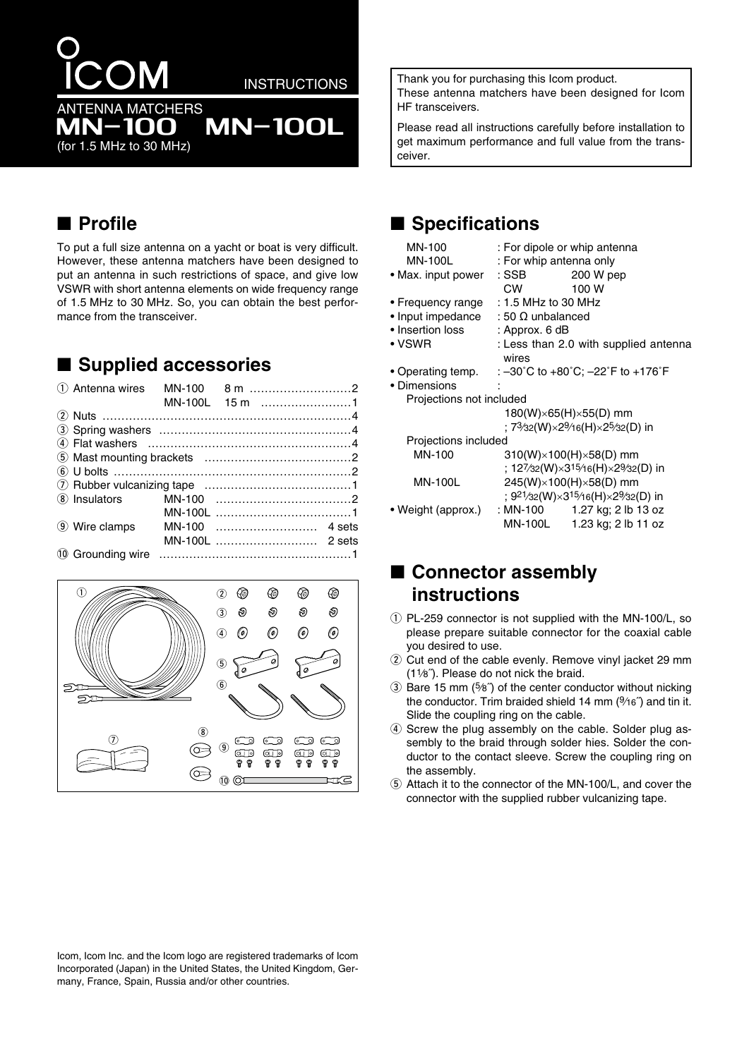# **ANTENNA MATCHERS**

**INSTRUCTIONS** 

**MN-100L** 

## **IN-100** (for 1.5 MHz to 30 MHz)

**Profile** 

To put a full size antenna on a yacht or boat is very difficult. However, these antenna matchers have been designed to put an antenna in such restrictions of space, and give low VSWR with short antenna elements on wide frequency range of 1.5 MHz to 30 MHz. So, you can obtain the best performance from the transceiver.

# ■ Supplied accessories

| 1 Antenna wires |  |                |  |
|-----------------|--|----------------|--|
|                 |  | MN-100L 15 m 1 |  |
|                 |  |                |  |
|                 |  |                |  |
|                 |  |                |  |
|                 |  |                |  |
|                 |  |                |  |
|                 |  |                |  |
| (8) Insulators  |  |                |  |
|                 |  |                |  |
| (9) Wire clamps |  |                |  |
|                 |  |                |  |
|                 |  |                |  |



Thank you for purchasing this Icom product. These antenna matchers have been designed for Icom HF transceivers.

Please read all instructions carefully before installation to get maximum performance and full value from the transceiver.

## ■ Specifications

| MN-100                    | : For dipole or whip antenna                                             |  |  |
|---------------------------|--------------------------------------------------------------------------|--|--|
| MN-100L                   | : For whip antenna only                                                  |  |  |
| • Max. input power        | 200 W pep<br>: SSB                                                       |  |  |
|                           | CW <sub>2</sub><br>100 W                                                 |  |  |
|                           | • Frequency range : 1.5 MHz to 30 MHz                                    |  |  |
| $\bullet$ Input impedance | : 50 $\Omega$ unbalanced                                                 |  |  |
| • Insertion loss          | : Approx. 6 dB                                                           |  |  |
| • VSWR                    | : Less than 2.0 with supplied antenna<br>wires                           |  |  |
|                           | • Operating temp. : -30°C to +80°C; -22°F to +176°F                      |  |  |
| • Dimensions              |                                                                          |  |  |
| Projections not included  |                                                                          |  |  |
|                           | $180(W)\times 65(H)\times 55(D)$ mm                                      |  |  |
|                           | ; 73⁄32(W)×29⁄16(H)×25⁄32(D) in                                          |  |  |
| Projections included      |                                                                          |  |  |
| MN-100                    | $310(W)\times 100(H)\times 58(D)$ mm                                     |  |  |
|                           | ; 127/32(W) $\times$ 3 <sup>15/</sup> 16(H) $\times$ 29/32(D) in         |  |  |
| <b>MN-100L</b>            | 245(W)×100(H)×58(D) mm                                                   |  |  |
|                           | ; 9 <sup>21</sup> /32(W)×3 <sup>15</sup> /16(H)×2 <sup>9</sup> /32(D) in |  |  |
| • Weight (approx.)        | : MN-100 1.27 kg; 2 lb 13 oz                                             |  |  |
|                           | MN-100L 1.23 kg; 2 lb 11 oz                                              |  |  |
|                           |                                                                          |  |  |

## ■ Connector assembly instructions

- 1 PL-259 connector is not supplied with the MN-100/L, so please prepare suitable connector for the coaxial cable vou desired to use.
- 2 Cut end of the cable evenly. Remove vinyl jacket 29 mm (11/8<sup>"</sup>). Please do not nick the braid.
- 3) Bare 15 mm (5%") of the center conductor without nicking the conductor. Trim braided shield 14 mm (%6") and tin it. Slide the coupling ring on the cable.
- 4) Screw the plug assembly on the cable. Solder plug assembly to the braid through solder hies. Solder the conductor to the contact sleeve. Screw the coupling ring on the assembly.
- 5 Attach it to the connector of the MN-100/L, and cover the connector with the supplied rubber vulcanizing tape.

Icom, Icom Inc. and the Icom logo are registered trademarks of Icom Incorporated (Japan) in the United States, the United Kingdom, Germany, France, Spain, Russia and/or other countries.